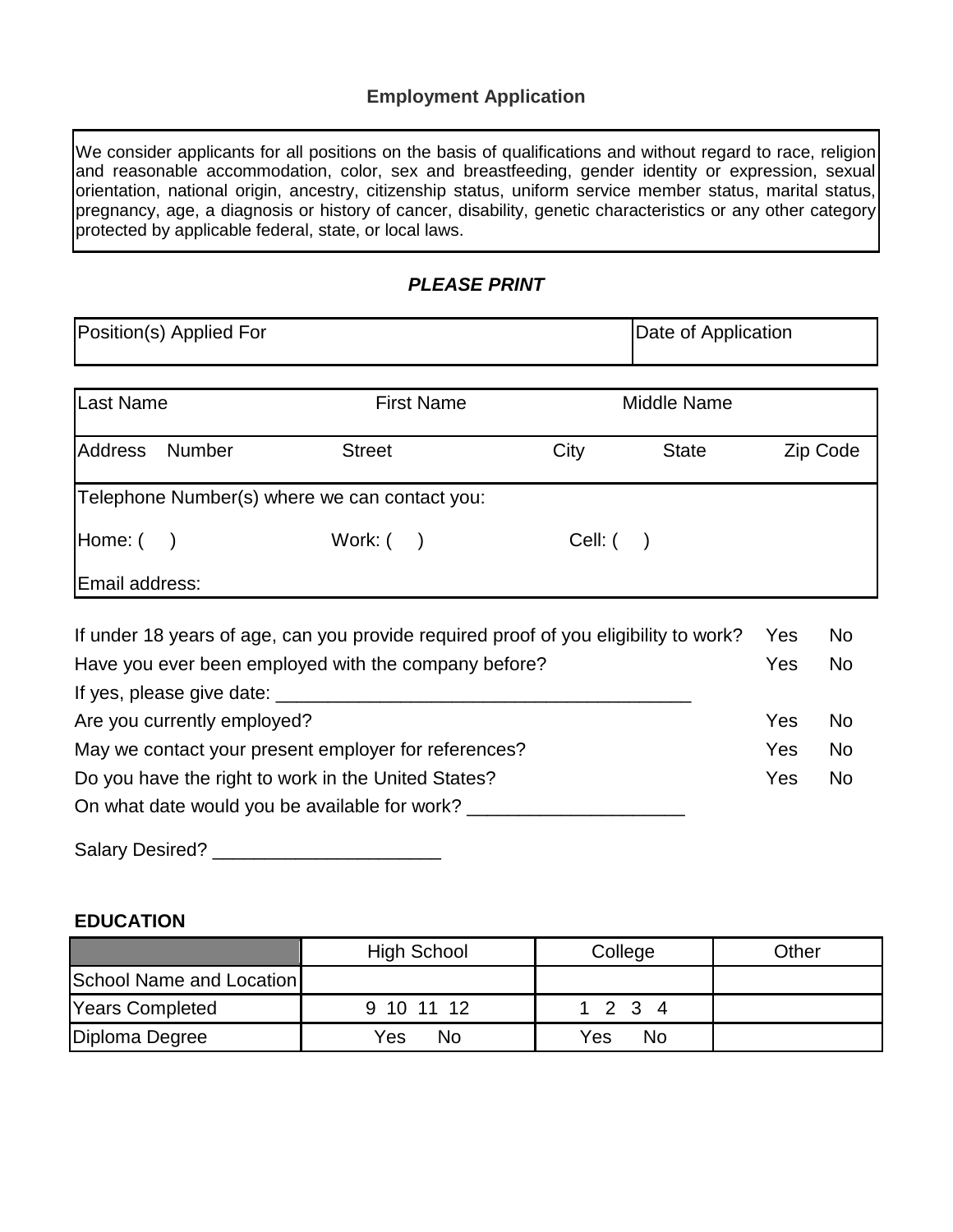#### **Employment Application**

We consider applicants for all positions on the basis of qualifications and without regard to race, religion and reasonable accommodation, color, sex and breastfeeding, gender identity or expression, sexual orientation, national origin, ancestry, citizenship status, uniform service member status, marital status, pregnancy, age, a diagnosis or history of cancer, disability, genetic characteristics or any other category protected by applicable federal, state, or local laws.

#### *PLEASE PRINT*

| Position(s) Applied For                              |                                                        |                                               | Date of Application                                                                  |          |                |  |
|------------------------------------------------------|--------------------------------------------------------|-----------------------------------------------|--------------------------------------------------------------------------------------|----------|----------------|--|
| Last Name                                            |                                                        | <b>First Name</b>                             | Middle Name                                                                          |          |                |  |
| <b>Address</b>                                       | <b>Number</b><br>City<br><b>Street</b><br><b>State</b> |                                               |                                                                                      | Zip Code |                |  |
|                                                      |                                                        | Telephone Number(s) where we can contact you: |                                                                                      |          |                |  |
|                                                      | Home: ( )<br>Work: $($ )<br>Cell: (                    |                                               |                                                                                      |          |                |  |
| Email address:                                       |                                                        |                                               |                                                                                      |          |                |  |
|                                                      |                                                        |                                               | If under 18 years of age, can you provide required proof of you eligibility to work? | Yes      | N <sub>o</sub> |  |
| Have you ever been employed with the company before? |                                                        |                                               |                                                                                      | Yes      | <b>No</b>      |  |
|                                                      | If yes, please give date:                              |                                               |                                                                                      |          |                |  |
| <u>Are vou currently employed?</u>                   |                                                        |                                               |                                                                                      | Yes      | No.            |  |

| Are you currently employed!                          | 1 G.S      | 1 N.U |
|------------------------------------------------------|------------|-------|
| May we contact your present employer for references? | Yes.       | No.   |
| Do you have the right to work in the United States?  | <b>Yes</b> | No.   |
| On what date would you be available for work?        |            |       |

| <b>Salary Desired?</b> |  |
|------------------------|--|
|------------------------|--|

## **EDUCATION**

|                          | High School | College   | Other |
|--------------------------|-------------|-----------|-------|
| School Name and Location |             |           |       |
| <b>Years Completed</b>   | 9 10 11 12  | 2 3 4     |       |
| Diploma Degree           | No<br>Yes   | No<br>Yes |       |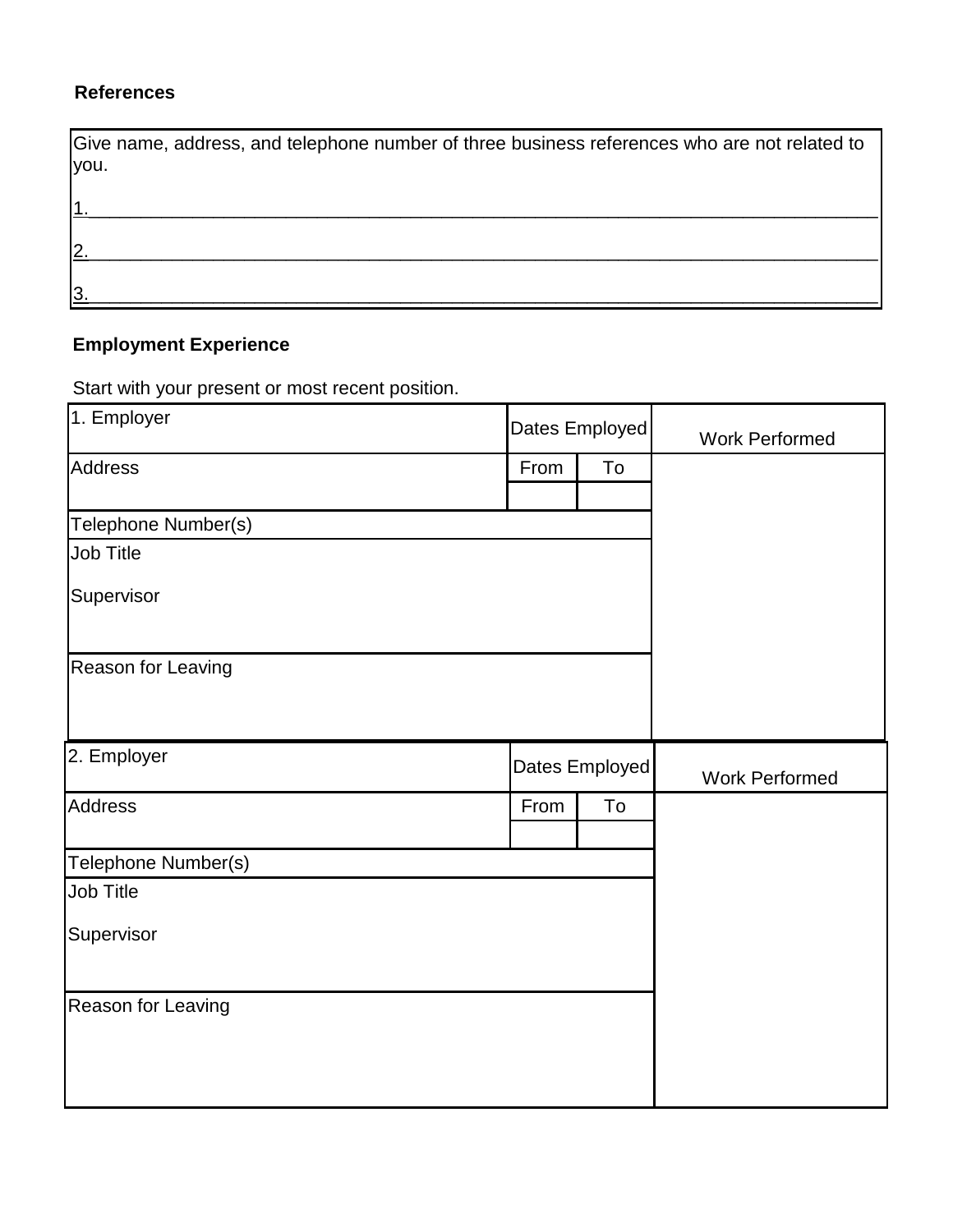## **References**

| Give name, address, and telephone number of three business references who are not related to<br>you. |  |
|------------------------------------------------------------------------------------------------------|--|
|                                                                                                      |  |
| l2                                                                                                   |  |
| 13                                                                                                   |  |

# **Employment Experience**

Start with your present or most recent position.

| 1. Employer         | Dates Employed |                | <b>Work Performed</b> |
|---------------------|----------------|----------------|-----------------------|
| <b>Address</b>      | From           | To             |                       |
|                     |                |                |                       |
| Telephone Number(s) |                |                |                       |
| Job Title           |                |                |                       |
| Supervisor          |                |                |                       |
| Reason for Leaving  |                |                |                       |
| 2. Employer         |                | Dates Employed | <b>Work Performed</b> |
| Address             | From           | To             |                       |
|                     |                |                |                       |
| Telephone Number(s) |                |                |                       |
| Job Title           |                |                |                       |
| Supervisor          |                |                |                       |
| Reason for Leaving  |                |                |                       |